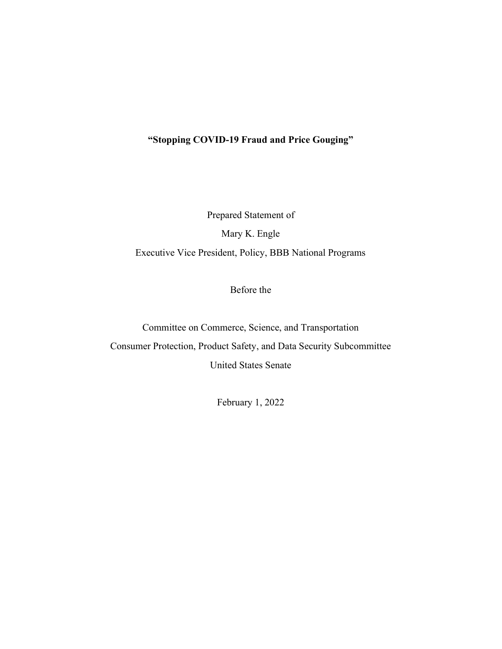# "Stopping COVID-19 Fraud and Price Gouging"

Prepared Statement of Mary K. Engle Executive Vice President, Policy, BBB National Programs

Before the

Committee on Commerce, Science, and Transportation

Consumer Protection, Product Safety, and Data Security Subcommittee United States Senate

February 1, 2022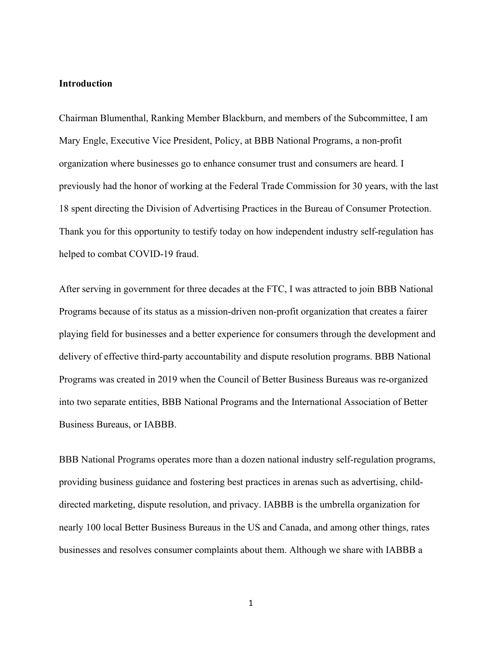#### Introduction

Chairman Blumenthal, Ranking Member Blackburn, and members of the Subcommittee, I am Mary Engle, Executive Vice President, Policy, at BBB National Programs, a non-profit organization where businesses go to enhance consumer trust and consumers are heard. I previously had the honor of working at the Federal Trade Commission for 30 years, with the last 18 spent directing the Division of Advertising Practices in the Bureau of Consumer Protection. Thank you for this opportunity to testify today on how independent industry self-regulation has helped to combat COVID-19 fraud.

After serving in government for three decades at the FTC, I was attracted to join BBB National Programs because of its status as a mission-driven non-profit organization that creates a fairer playing field for businesses and a better experience for consumers through the development and delivery of effective third-party accountability and dispute resolution programs. BBB National Programs was created in 2019 when the Council of Better Business Bureaus was re-organized into two separate entities, BBB National Programs and the International Association of Better Business Bureaus, or IABBB.

BBB National Programs operates more than a dozen national industry self-regulation programs, providing business guidance and fostering best practices in arenas such as advertising, childdirected marketing, dispute resolution, and privacy. IABBB is the umbrella organization for nearly 100 local Better Business Bureaus in the US and Canada, and among other things, rates businesses and resolves consumer complaints about them. Although we share with IABBB a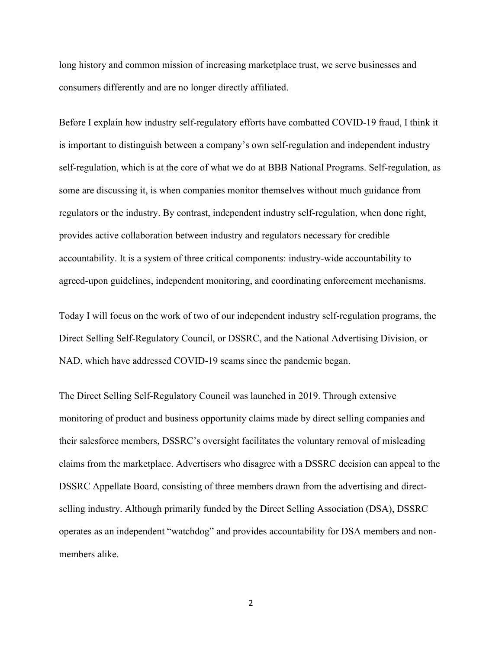long history and common mission of increasing marketplace trust, we serve businesses and consumers differently and are no longer directly affiliated.

Before I explain how industry self-regulatory efforts have combatted COVID-19 fraud, I think it is important to distinguish between a company's own self-regulation and independent industry self-regulation, which is at the core of what we do at BBB National Programs. Self-regulation, as some are discussing it, is when companies monitor themselves without much guidance from regulators or the industry. By contrast, independent industry self-regulation, when done right, provides active collaboration between industry and regulators necessary for credible accountability. It is a system of three critical components: industry-wide accountability to agreed-upon guidelines, independent monitoring, and coordinating enforcement mechanisms.

Today I will focus on the work of two of our independent industry self-regulation programs, the Direct Selling Self-Regulatory Council, or DSSRC, and the National Advertising Division, or NAD, which have addressed COVID-19 scams since the pandemic began.

The Direct Selling Self-Regulatory Council was launched in 2019. Through extensive monitoring of product and business opportunity claims made by direct selling companies and their salesforce members, DSSRC's oversight facilitates the voluntary removal of misleading claims from the marketplace. Advertisers who disagree with a DSSRC decision can appeal to the DSSRC Appellate Board, consisting of three members drawn from the advertising and directselling industry. Although primarily funded by the Direct Selling Association (DSA), DSSRC operates as an independent "watchdog" and provides accountability for DSA members and nonmembers alike.

2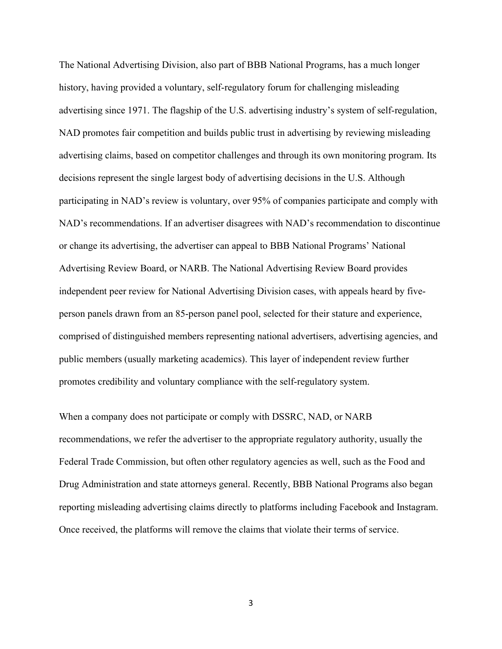The National Advertising Division, also part of BBB National Programs, has a much longer history, having provided a voluntary, self-regulatory forum for challenging misleading advertising since 1971. The flagship of the U.S. advertising industry's system of self-regulation, NAD promotes fair competition and builds public trust in advertising by reviewing misleading advertising claims, based on competitor challenges and through its own monitoring program. Its decisions represent the single largest body of advertising decisions in the U.S. Although participating in NAD's review is voluntary, over 95% of companies participate and comply with NAD's recommendations. If an advertiser disagrees with NAD's recommendation to discontinue or change its advertising, the advertiser can appeal to BBB National Programs' National Advertising Review Board, or NARB. The National Advertising Review Board provides independent peer review for National Advertising Division cases, with appeals heard by fiveperson panels drawn from an 85-person panel pool, selected for their stature and experience, comprised of distinguished members representing national advertisers, advertising agencies, and public members (usually marketing academics). This layer of independent review further promotes credibility and voluntary compliance with the self-regulatory system.

When a company does not participate or comply with DSSRC, NAD, or NARB recommendations, we refer the advertiser to the appropriate regulatory authority, usually the Federal Trade Commission, but often other regulatory agencies as well, such as the Food and Drug Administration and state attorneys general. Recently, BBB National Programs also began reporting misleading advertising claims directly to platforms including Facebook and Instagram. Once received, the platforms will remove the claims that violate their terms of service.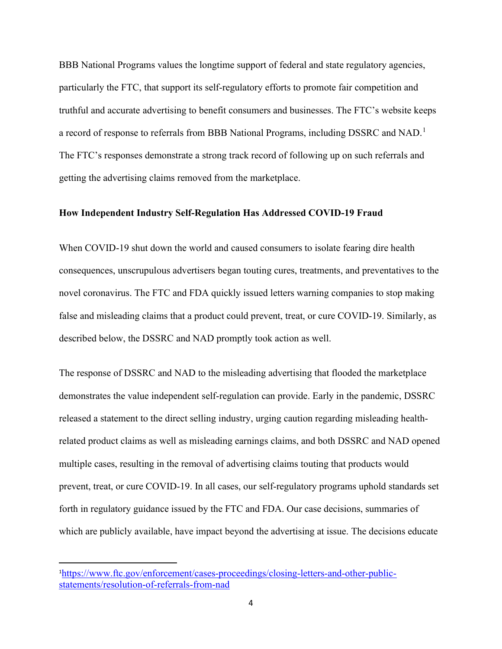BBB National Programs values the longtime support of federal and state regulatory agencies, particularly the FTC, that support its self-regulatory efforts to promote fair competition and truthful and accurate advertising to benefit consumers and businesses. The FTC's website keeps a record of response to referrals from BBB National Programs, including DSSRC and NAD.<sup>1</sup> The FTC's responses demonstrate a strong track record of following up on such referrals and getting the advertising claims removed from the marketplace.

#### How Independent Industry Self-Regulation Has Addressed COVID-19 Fraud

When COVID-19 shut down the world and caused consumers to isolate fearing dire health consequences, unscrupulous advertisers began touting cures, treatments, and preventatives to the novel coronavirus. The FTC and FDA quickly issued letters warning companies to stop making false and misleading claims that a product could prevent, treat, or cure COVID-19. Similarly, as described below, the DSSRC and NAD promptly took action as well.

The response of DSSRC and NAD to the misleading advertising that flooded the marketplace demonstrates the value independent self-regulation can provide. Early in the pandemic, DSSRC released a statement to the direct selling industry, urging caution regarding misleading healthrelated product claims as well as misleading earnings claims, and both DSSRC and NAD opened multiple cases, resulting in the removal of advertising claims touting that products would prevent, treat, or cure COVID-19. In all cases, our self-regulatory programs uphold standards set forth in regulatory guidance issued by the FTC and FDA. Our case decisions, summaries of which are publicly available, have impact beyond the advertising at issue. The decisions educate

<sup>1</sup>https://www.ftc.gov/enforcement/cases-proceedings/closing-letters-and-other-publicstatements/resolution-of-referrals-from-nad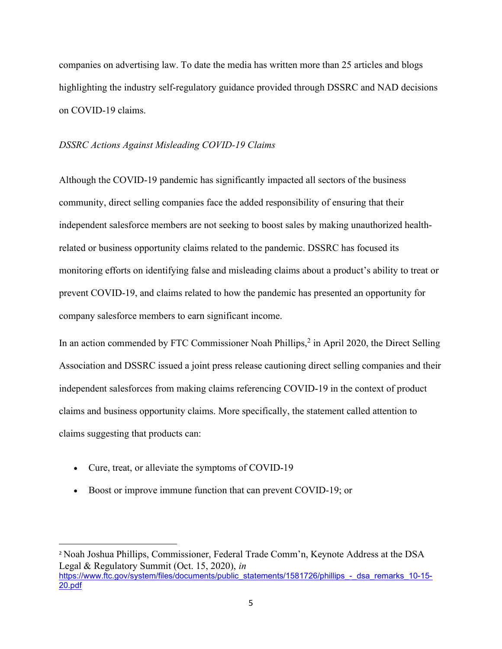companies on advertising law. To date the media has written more than 25 articles and blogs highlighting the industry self-regulatory guidance provided through DSSRC and NAD decisions on COVID-19 claims.

#### DSSRC Actions Against Misleading COVID-19 Claims

Although the COVID-19 pandemic has significantly impacted all sectors of the business community, direct selling companies face the added responsibility of ensuring that their independent salesforce members are not seeking to boost sales by making unauthorized healthrelated or business opportunity claims related to the pandemic. DSSRC has focused its monitoring efforts on identifying false and misleading claims about a product's ability to treat or prevent COVID-19, and claims related to how the pandemic has presented an opportunity for company salesforce members to earn significant income.

In an action commended by FTC Commissioner Noah Phillips,<sup>2</sup> in April 2020, the Direct Selling Association and DSSRC issued a joint press release cautioning direct selling companies and their independent salesforces from making claims referencing COVID-19 in the context of product claims and business opportunity claims. More specifically, the statement called attention to claims suggesting that products can:

- Cure, treat, or alleviate the symptoms of COVID-19
- Boost or improve immune function that can prevent COVID-19; or

<sup>2</sup> Noah Joshua Phillips, Commissioner, Federal Trade Comm'n, Keynote Address at the DSA Legal & Regulatory Summit (Oct. 15, 2020), in https://www.ftc.gov/system/files/documents/public\_statements/1581726/phillips\_-\_dsa\_remarks\_10-15-20.pdf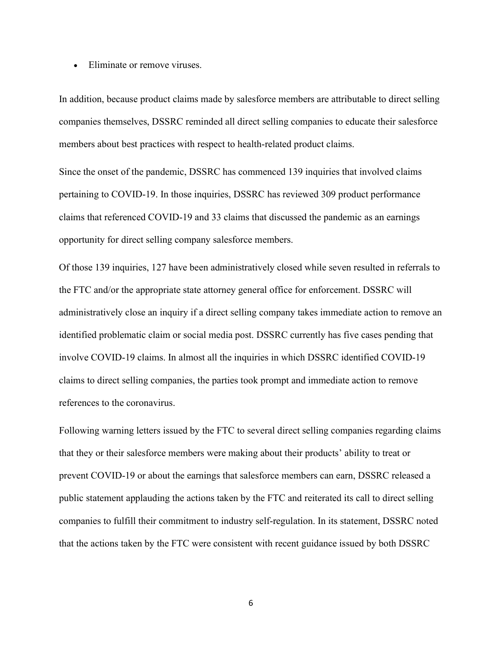• Eliminate or remove viruses.

In addition, because product claims made by salesforce members are attributable to direct selling companies themselves, DSSRC reminded all direct selling companies to educate their salesforce members about best practices with respect to health-related product claims.

Since the onset of the pandemic, DSSRC has commenced 139 inquiries that involved claims pertaining to COVID-19. In those inquiries, DSSRC has reviewed 309 product performance claims that referenced COVID-19 and 33 claims that discussed the pandemic as an earnings opportunity for direct selling company salesforce members.

Of those 139 inquiries, 127 have been administratively closed while seven resulted in referrals to the FTC and/or the appropriate state attorney general office for enforcement. DSSRC will administratively close an inquiry if a direct selling company takes immediate action to remove an identified problematic claim or social media post. DSSRC currently has five cases pending that involve COVID-19 claims. In almost all the inquiries in which DSSRC identified COVID-19 claims to direct selling companies, the parties took prompt and immediate action to remove references to the coronavirus.

Following warning letters issued by the FTC to several direct selling companies regarding claims that they or their salesforce members were making about their products' ability to treat or prevent COVID-19 or about the earnings that salesforce members can earn, DSSRC released a public statement applauding the actions taken by the FTC and reiterated its call to direct selling companies to fulfill their commitment to industry self-regulation. In its statement, DSSRC noted that the actions taken by the FTC were consistent with recent guidance issued by both DSSRC

6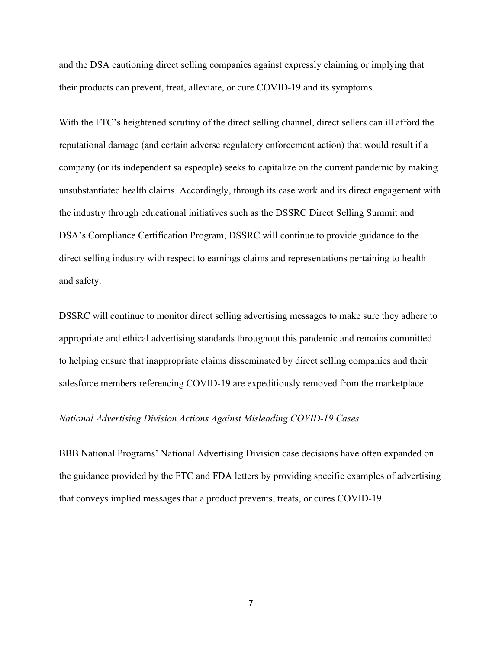and the DSA cautioning direct selling companies against expressly claiming or implying that their products can prevent, treat, alleviate, or cure COVID-19 and its symptoms.

With the FTC's heightened scrutiny of the direct selling channel, direct sellers can ill afford the reputational damage (and certain adverse regulatory enforcement action) that would result if a company (or its independent salespeople) seeks to capitalize on the current pandemic by making unsubstantiated health claims. Accordingly, through its case work and its direct engagement with the industry through educational initiatives such as the DSSRC Direct Selling Summit and DSA's Compliance Certification Program, DSSRC will continue to provide guidance to the direct selling industry with respect to earnings claims and representations pertaining to health and safety.

DSSRC will continue to monitor direct selling advertising messages to make sure they adhere to appropriate and ethical advertising standards throughout this pandemic and remains committed to helping ensure that inappropriate claims disseminated by direct selling companies and their salesforce members referencing COVID-19 are expeditiously removed from the marketplace.

### National Advertising Division Actions Against Misleading COVID-19 Cases

BBB National Programs' National Advertising Division case decisions have often expanded on the guidance provided by the FTC and FDA letters by providing specific examples of advertising that conveys implied messages that a product prevents, treats, or cures COVID-19.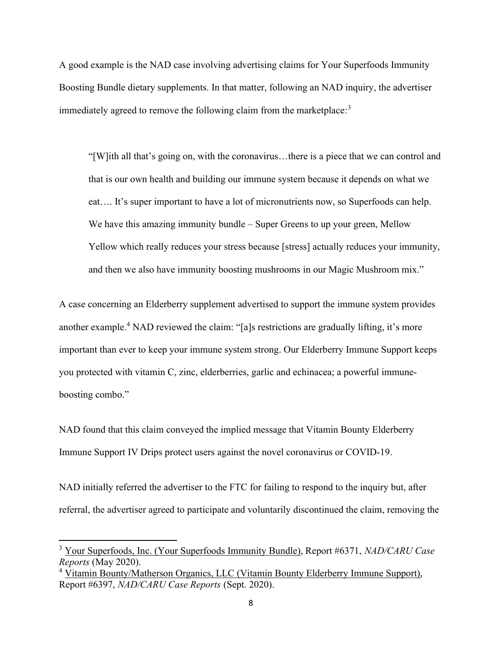A good example is the NAD case involving advertising claims for Your Superfoods Immunity Boosting Bundle dietary supplements. In that matter, following an NAD inquiry, the advertiser immediately agreed to remove the following claim from the marketplace: $3$ 

"[W]ith all that's going on, with the coronavirus…there is a piece that we can control and that is our own health and building our immune system because it depends on what we eat…. It's super important to have a lot of micronutrients now, so Superfoods can help. We have this amazing immunity bundle – Super Greens to up your green, Mellow Yellow which really reduces your stress because [stress] actually reduces your immunity, and then we also have immunity boosting mushrooms in our Magic Mushroom mix."

A case concerning an Elderberry supplement advertised to support the immune system provides another example.<sup>4</sup> NAD reviewed the claim: "[a]s restrictions are gradually lifting, it's more important than ever to keep your immune system strong. Our Elderberry Immune Support keeps you protected with vitamin C, zinc, elderberries, garlic and echinacea; a powerful immuneboosting combo."

NAD found that this claim conveyed the implied message that Vitamin Bounty Elderberry Immune Support IV Drips protect users against the novel coronavirus or COVID-19.

NAD initially referred the advertiser to the FTC for failing to respond to the inquiry but, after referral, the advertiser agreed to participate and voluntarily discontinued the claim, removing the

<sup>&</sup>lt;sup>3</sup> Your Superfoods, Inc. (Your Superfoods Immunity Bundle), Report #6371, NAD/CARU Case Reports (May 2020).

<sup>&</sup>lt;sup>4</sup> Vitamin Bounty/Matherson Organics, LLC (Vitamin Bounty Elderberry Immune Support), Report #6397, NAD/CARU Case Reports (Sept. 2020).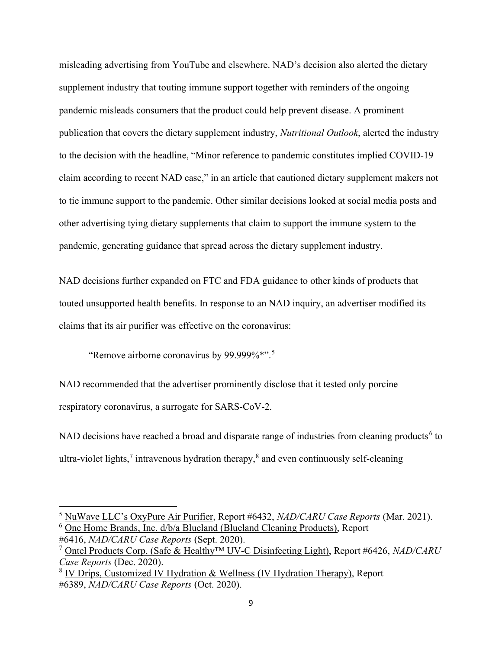misleading advertising from YouTube and elsewhere. NAD's decision also alerted the dietary supplement industry that touting immune support together with reminders of the ongoing pandemic misleads consumers that the product could help prevent disease. A prominent publication that covers the dietary supplement industry, Nutritional Outlook, alerted the industry to the decision with the headline, "Minor reference to pandemic constitutes implied COVID-19 claim according to recent NAD case," in an article that cautioned dietary supplement makers not to tie immune support to the pandemic. Other similar decisions looked at social media posts and other advertising tying dietary supplements that claim to support the immune system to the pandemic, generating guidance that spread across the dietary supplement industry.

NAD decisions further expanded on FTC and FDA guidance to other kinds of products that touted unsupported health benefits. In response to an NAD inquiry, an advertiser modified its claims that its air purifier was effective on the coronavirus:

"Remove airborne coronavirus by 99.999%\*".<sup>5</sup>

NAD recommended that the advertiser prominently disclose that it tested only porcine respiratory coronavirus, a surrogate for SARS-CoV-2.

NAD decisions have reached a broad and disparate range of industries from cleaning products<sup>6</sup> to ultra-violet lights,<sup>7</sup> intravenous hydration therapy,<sup>8</sup> and even continuously self-cleaning

 $<sup>5</sup>$  NuWave LLC's OxyPure Air Purifier, Report #6432, NAD/CARU Case Reports (Mar. 2021).</sup> <sup>6</sup> One Home Brands, Inc. d/b/a Blueland (Blueland Cleaning Products), Report

<sup>#6416,</sup> NAD/CARU Case Reports (Sept. 2020).

 $7 \text{ Ontel Products}$  Corp. (Safe & Healthy<sup>TM</sup> UV-C Disinfecting Light), Report #6426, NAD/CARU Case Reports (Dec. 2020).

<sup>&</sup>lt;sup>8</sup> IV Drips, Customized IV Hydration & Wellness (IV Hydration Therapy), Report #6389, NAD/CARU Case Reports (Oct. 2020).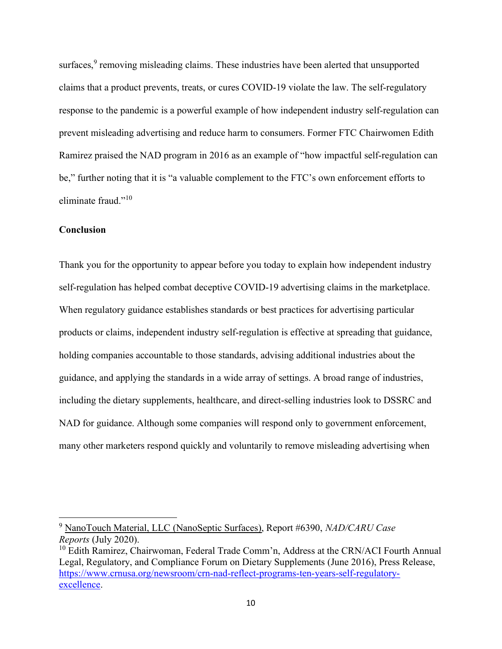surfaces, $9$  removing misleading claims. These industries have been alerted that unsupported claims that a product prevents, treats, or cures COVID-19 violate the law. The self-regulatory response to the pandemic is a powerful example of how independent industry self-regulation can prevent misleading advertising and reduce harm to consumers. Former FTC Chairwomen Edith Ramirez praised the NAD program in 2016 as an example of "how impactful self-regulation can be," further noting that it is "a valuable complement to the FTC's own enforcement efforts to eliminate fraud."<sup>10</sup>

## Conclusion

Thank you for the opportunity to appear before you today to explain how independent industry self-regulation has helped combat deceptive COVID-19 advertising claims in the marketplace. When regulatory guidance establishes standards or best practices for advertising particular products or claims, independent industry self-regulation is effective at spreading that guidance, holding companies accountable to those standards, advising additional industries about the guidance, and applying the standards in a wide array of settings. A broad range of industries, including the dietary supplements, healthcare, and direct-selling industries look to DSSRC and NAD for guidance. Although some companies will respond only to government enforcement, many other marketers respond quickly and voluntarily to remove misleading advertising when

<sup>&</sup>lt;sup>9</sup> NanoTouch Material, LLC (NanoSeptic Surfaces), Report #6390, NAD/CARU Case Reports (July 2020).

<sup>&</sup>lt;sup>10</sup> Edith Ramirez, Chairwoman, Federal Trade Comm'n, Address at the CRN/ACI Fourth Annual Legal, Regulatory, and Compliance Forum on Dietary Supplements (June 2016), Press Release, https://www.crnusa.org/newsroom/crn-nad-reflect-programs-ten-years-self-regulatoryexcellence.